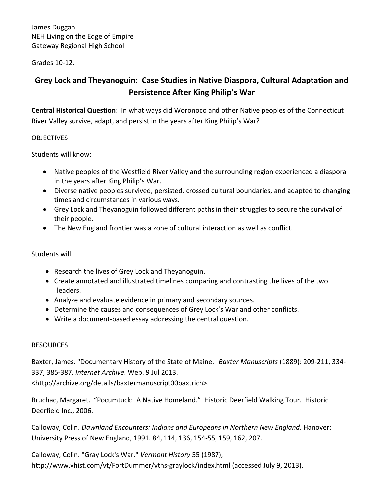Grades 10-12.

# **Grey Lock and Theyanoguin: Case Studies in Native Diaspora, Cultural Adaptation and Persistence After King Philip's War**

**Central Historical Question**: In what ways did Woronoco and other Native peoples of the Connecticut River Valley survive, adapt, and persist in the years after King Philip's War?

## **OBJECTIVES**

Students will know:

- Native peoples of the Westfield River Valley and the surrounding region experienced a diaspora in the years after King Philip's War.
- Diverse native peoples survived, persisted, crossed cultural boundaries, and adapted to changing times and circumstances in various ways.
- Grey Lock and Theyanoguin followed different paths in their struggles to secure the survival of their people.
- The New England frontier was a zone of cultural interaction as well as conflict.

Students will:

- Research the lives of Grey Lock and Theyanoguin.
- Create annotated and illustrated timelines comparing and contrasting the lives of the two leaders.
- Analyze and evaluate evidence in primary and secondary sources.
- Determine the causes and consequences of Grey Lock's War and other conflicts.
- Write a document-based essay addressing the central question.

### **RESOURCES**

Baxter, James. "Documentary History of the State of Maine." *Baxter Manuscripts* (1889): 209-211, 334- 337, 385-387. *Internet Archive*. Web. 9 Jul 2013.

<http://archive.org/details/baxtermanuscript00baxtrich>.

Bruchac, Margaret. "Pocumtuck: A Native Homeland." Historic Deerfield Walking Tour. Historic Deerfield Inc., 2006.

Calloway, Colin. *Dawnland Encounters: Indians and Europeans in Northern New England*. Hanover: University Press of New England, 1991. 84, 114, 136, 154-55, 159, 162, 207.

Calloway, Colin. "Gray Lock's War." *Vermont History* 55 (1987), http://www.vhist.com/vt/FortDummer/vths-graylock/index.html (accessed July 9, 2013).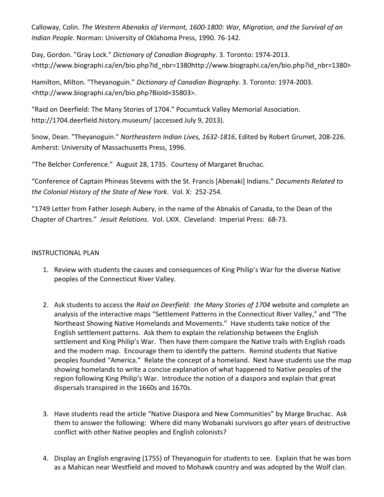Calloway, Colin. *The Western Abenakis of Vermont, 1600-1800: War, Migration, and the Survival of an Indian People.* Norman: University of Oklahoma Press, 1990. 76-142.

Day, Gordon. "Gray Lock." *Dictionary of Canadian Biography*. 3. Toronto: 1974-2013. <http://www.biographi.ca/en/bio.php?id\_nbr=1380http://www.biographi.ca/en/bio.php?id\_nbr=1380>

Hamilton, Milton. "Theyanoguin." *Dictionary of Canadian Biography*. 3. Toronto: 1974-2003. <http://www.biographi.ca/en/bio.php?BioId=35803>.

"Raid on Deerfield: The Many Stories of 1704." Pocumtuck Valley Memorial Association. http://1704.deerfield.history.museum/ (accessed July 9, 2013).

Snow, Dean. "Theyanoguin." *Northeastern Indian Lives, 1632-1816*, Edited by Robert Grumet, 208-226. Amherst: University of Massachusetts Press, 1996.

"The Belcher Conference." August 28, 1735. Courtesy of Margaret Bruchac.

"Conference of Captain Phineas Stevens with the St. Francis [Abenaki] Indians." *Documents Related to the Colonial History of the State of New York*. Vol. X: 252-254.

"1749 Letter from Father Joseph Aubery, in the name of the Abnakis of Canada, to the Dean of the Chapter of Chartres." *Jesuit Relations*. Vol. LXIX. Cleveland: Imperial Press: 68-73.

### INSTRUCTIONAL PLAN

- 1. Review with students the causes and consequences of King Philip's War for the diverse Native peoples of the Connecticut River Valley.
- 2. Ask students to access the *Raid on Deerfield: the Many Stories of 1704* website and complete an analysis of the interactive maps "Settlement Patterns in the Connecticut River Valley," and "The Northeast Showing Native Homelands and Movements." Have students take notice of the English settlement patterns. Ask them to explain the relationship between the English settlement and King Philip's War. Then have them compare the Native trails with English roads and the modern map. Encourage them to identify the pattern. Remind students that Native peoples founded "America." Relate the concept of a homeland. Next have students use the map showing homelands to write a concise explanation of what happened to Native peoples of the region following King Philip's War. Introduce the notion of a diaspora and explain that great dispersals transpired in the 1660s and 1670s.
- 3. Have students read the article "Native Diaspora and New Communities" by Marge Bruchac. Ask them to answer the following: Where did many Wobanaki survivors go after years of destructive conflict with other Native peoples and English colonists?
- 4. Display an English engraving (1755) of Theyanoguin for students to see. Explain that he was born as a Mahican near Westfield and moved to Mohawk country and was adopted by the Wolf clan.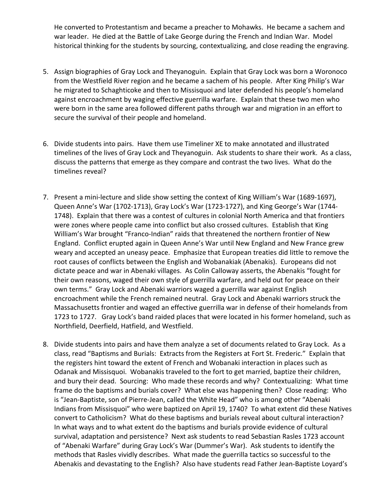He converted to Protestantism and became a preacher to Mohawks. He became a sachem and war leader. He died at the Battle of Lake George during the French and Indian War. Model historical thinking for the students by sourcing, contextualizing, and close reading the engraving.

- 5. Assign biographies of Gray Lock and Theyanoguin. Explain that Gray Lock was born a Woronoco from the Westfield River region and he became a sachem of his people. After King Philip's War he migrated to Schaghticoke and then to Missisquoi and later defended his people's homeland against encroachment by waging effective guerrilla warfare. Explain that these two men who were born in the same area followed different paths through war and migration in an effort to secure the survival of their people and homeland.
- 6. Divide students into pairs. Have them use Timeliner XE to make annotated and illustrated timelines of the lives of Gray Lock and Theyanoguin. Ask students to share their work. As a class, discuss the patterns that emerge as they compare and contrast the two lives. What do the timelines reveal?
- 7. Present a mini-lecture and slide show setting the context of King William's War (1689-1697), Queen Anne's War (1702-1713), Gray Lock's War (1723-1727), and King George's War (1744- 1748). Explain that there was a contest of cultures in colonial North America and that frontiers were zones where people came into conflict but also crossed cultures. Establish that King William's War brought "Franco-Indian" raids that threatened the northern frontier of New England. Conflict erupted again in Queen Anne's War until New England and New France grew weary and accepted an uneasy peace. Emphasize that European treaties did little to remove the root causes of conflicts between the English and Wobanakiak (Abenakis). Europeans did not dictate peace and war in Abenaki villages. As Colin Calloway asserts, the Abenakis "fought for their own reasons, waged their own style of guerrilla warfare, and held out for peace on their own terms." Gray Lock and Abenaki warriors waged a guerrilla war against English encroachment while the French remained neutral. Gray Lock and Abenaki warriors struck the Massachusetts frontier and waged an effective guerrilla war in defense of their homelands from 1723 to 1727. Gray Lock's band raided places that were located in his former homeland, such as Northfield, Deerfield, Hatfield, and Westfield.
- 8. Divide students into pairs and have them analyze a set of documents related to Gray Lock. As a class, read "Baptisms and Burials: Extracts from the Registers at Fort St. Frederic." Explain that the registers hint toward the extent of French and Wobanaki interaction in places such as Odanak and Missisquoi. Wobanakis traveled to the fort to get married, baptize their children, and bury their dead. Sourcing: Who made these records and why? Contextualizing: What time frame do the baptisms and burials cover? What else was happening then? Close reading: Who is "Jean-Baptiste, son of Pierre-Jean, called the White Head" who is among other "Abenaki Indians from Missisquoi" who were baptized on April 19, 1740? To what extent did these Natives convert to Catholicism? What do these baptisms and burials reveal about cultural interaction? In what ways and to what extent do the baptisms and burials provide evidence of cultural survival, adaptation and persistence? Next ask students to read Sebastian Rasles 1723 account of "Abenaki Warfare" during Gray Lock's War (Dummer's War). Ask students to identify the methods that Rasles vividly describes. What made the guerrilla tactics so successful to the Abenakis and devastating to the English? Also have students read Father Jean-Baptiste Loyard's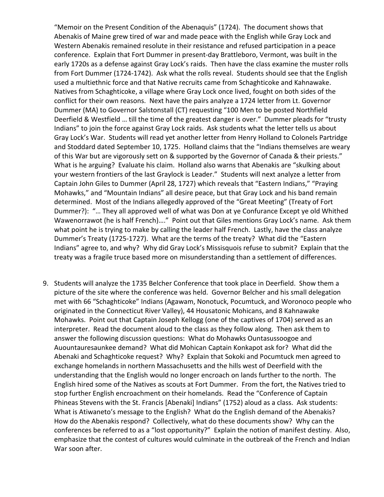"Memoir on the Present Condition of the Abenaquis" (1724). The document shows that Abenakis of Maine grew tired of war and made peace with the English while Gray Lock and Western Abenakis remained resolute in their resistance and refused participation in a peace conference. Explain that Fort Dummer in present-day Brattleboro, Vermont, was built in the early 1720s as a defense against Gray Lock's raids. Then have the class examine the muster rolls from Fort Dummer (1724-1742). Ask what the rolls reveal. Students should see that the English used a multiethnic force and that Native recruits came from Schaghticoke and Kahnawake. Natives from Schaghticoke, a village where Gray Lock once lived, fought on both sides of the conflict for their own reasons. Next have the pairs analyze a 1724 letter from Lt. Governor Dummer (MA) to Governor Salstonstall (CT) requesting "100 Men to be posted Northfield Deerfield & Westfield … till the time of the greatest danger is over." Dummer pleads for "trusty Indians" to join the force against Gray Lock raids. Ask students what the letter tells us about Gray Lock's War. Students will read yet another letter from Henry Holland to Colonels Partridge and Stoddard dated September 10, 1725. Holland claims that the "Indians themselves are weary of this War but are vigorously sett on & supported by the Governor of Canada & their priests." What is he arguing? Evaluate his claim. Holland also warns that Abenakis are "skulking about your western frontiers of the last Graylock is Leader." Students will next analyze a letter from Captain John Giles to Dummer (April 28, 1727) which reveals that "Eastern Indians," "Praying Mohawks," and "Mountain Indians" all desire peace, but that Gray Lock and his band remain determined. Most of the Indians allegedly approved of the "Great Meeting" (Treaty of Fort Dummer?): "… They all approved well of what was Don at ye Confurance Except ye old Whithed Wawenorrawot (he is half French)…." Point out that Giles mentions Gray Lock's name. Ask them what point he is trying to make by calling the leader half French. Lastly, have the class analyze Dummer's Treaty (1725-1727). What are the terms of the treaty? What did the "Eastern Indians" agree to, and why? Why did Gray Lock's Missisquois refuse to submit? Explain that the treaty was a fragile truce based more on misunderstanding than a settlement of differences.

9. Students will analyze the 1735 Belcher Conference that took place in Deerfield. Show them a picture of the site where the conference was held. Governor Belcher and his small delegation met with 66 "Schaghticoke" Indians (Agawam, Nonotuck, Pocumtuck, and Woronoco people who originated in the Connecticut River Valley), 44 Housatonic Mohicans, and 8 Kahnawake Mohawks. Point out that Captain Joseph Kellogg (one of the captives of 1704) served as an interpreter. Read the document aloud to the class as they follow along. Then ask them to answer the following discussion questions: What do Mohawks Ountasussoogoe and Auountauresaunkee demand? What did Mohican Captain Konkapot ask for? What did the Abenaki and Schaghticoke request? Why? Explain that Sokoki and Pocumtuck men agreed to exchange homelands in northern Massachusetts and the hills west of Deerfield with the understanding that the English would no longer encroach on lands further to the north. The English hired some of the Natives as scouts at Fort Dummer. From the fort, the Natives tried to stop further English encroachment on their homelands. Read the "Conference of Captain Phineas Stevens with the St. Francis [Abenaki] Indians" (1752) aloud as a class. Ask students: What is Atiwaneto's message to the English? What do the English demand of the Abenakis? How do the Abenakis respond? Collectively, what do these documents show? Why can the conferences be referred to as a "lost opportunity?" Explain the notion of manifest destiny. Also, emphasize that the contest of cultures would culminate in the outbreak of the French and Indian War soon after.